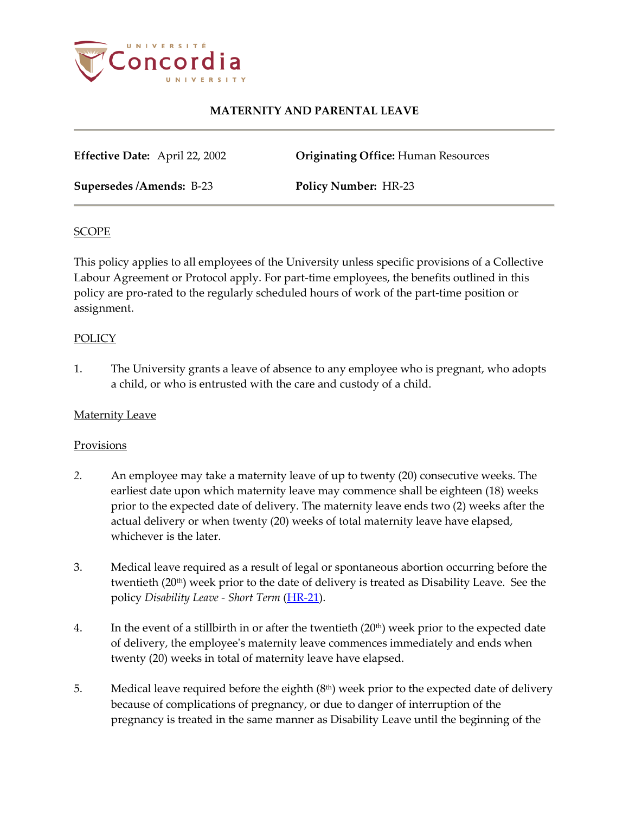

**Effective Date:** April 22, 2002 **Originating Office:** Human Resources

**Supersedes /Amends:** B-23 **Policy Number:** HR-23

#### **SCOPE**

This policy applies to all employees of the University unless specific provisions of a Collective Labour Agreement or Protocol apply. For part-time employees, the benefits outlined in this policy are pro-rated to the regularly scheduled hours of work of the part-time position or assignment.

### **POLICY**

1. The University grants a leave of absence to any employee who is pregnant, who adopts a child, or who is entrusted with the care and custody of a child.

### **Maternity Leave**

### **Provisions**

- *2.* An employee may take a maternity leave of up to twenty (20) consecutive weeks. The earliest date upon which maternity leave may commence shall be eighteen (18) weeks prior to the expected date of delivery. The maternity leave ends two (2) weeks after the actual delivery or when twenty (20) weeks of total maternity leave have elapsed, whichever is the later.
- 3. Medical leave required as a result of legal or spontaneous abortion occurring before the twentieth (20<sup>th</sup>) week prior to the date of delivery is treated as Disability Leave. See the policy *Disability Leave - Short Term* [\(HR-21\)](http://www.concordia.ca/vpirsg/documents/policies/HR-21.pdf).
- 4. In the event of a stillbirth in or after the twentieth  $(20<sup>th</sup>)$  week prior to the expected date of delivery, the employee's maternity leave commences immediately and ends when twenty (20) weeks in total of maternity leave have elapsed.
- 5. Medical leave required before the eighth  $(8<sup>th</sup>)$  week prior to the expected date of delivery because of complications of pregnancy, or due to danger of interruption of the pregnancy is treated in the same manner as Disability Leave until the beginning of the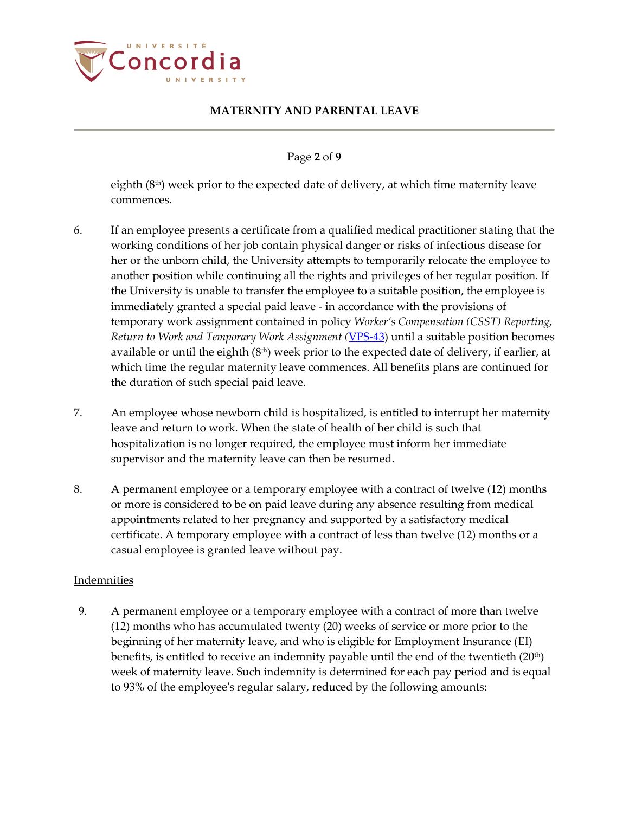

Page **2** of **9**

eighth  $(8<sup>th</sup>)$  week prior to the expected date of delivery, at which time maternity leave commences.

- 6. If an employee presents a certificate from a qualified medical practitioner stating that the working conditions of her job contain physical danger or risks of infectious disease for her or the unborn child, the University attempts to temporarily relocate the employee to another position while continuing all the rights and privileges of her regular position. If the University is unable to transfer the employee to a suitable position, the employee is immediately granted a special paid leave - in accordance with the provisions of temporary work assignment contained in policy *Worker's Compensation (CSST) Reporting, Return to Work and Temporary Work Assignment (*[VPS-43\)](http://www.concordia.ca/vpirsg/documents/policies/VPS-43.pdf) until a suitable position becomes available or until the eighth  $(8<sup>th</sup>)$  week prior to the expected date of delivery, if earlier, at which time the regular maternity leave commences. All benefits plans are continued for the duration of such special paid leave.
- 7. An employee whose newborn child is hospitalized, is entitled to interrupt her maternity leave and return to work. When the state of health of her child is such that hospitalization is no longer required, the employee must inform her immediate supervisor and the maternity leave can then be resumed.
- 8. A permanent employee or a temporary employee with a contract of twelve (12) months or more is considered to be on paid leave during any absence resulting from medical appointments related to her pregnancy and supported by a satisfactory medical certificate. A temporary employee with a contract of less than twelve (12) months or a casual employee is granted leave without pay.

### Indemnities

9. A permanent employee or a temporary employee with a contract of more than twelve (12) months who has accumulated twenty (20) weeks of service or more prior to the beginning of her maternity leave, and who is eligible for Employment Insurance (EI) benefits, is entitled to receive an indemnity payable until the end of the twentieth  $(20<sup>th</sup>)$ week of maternity leave. Such indemnity is determined for each pay period and is equal to 93% of the employee's regular salary, reduced by the following amounts: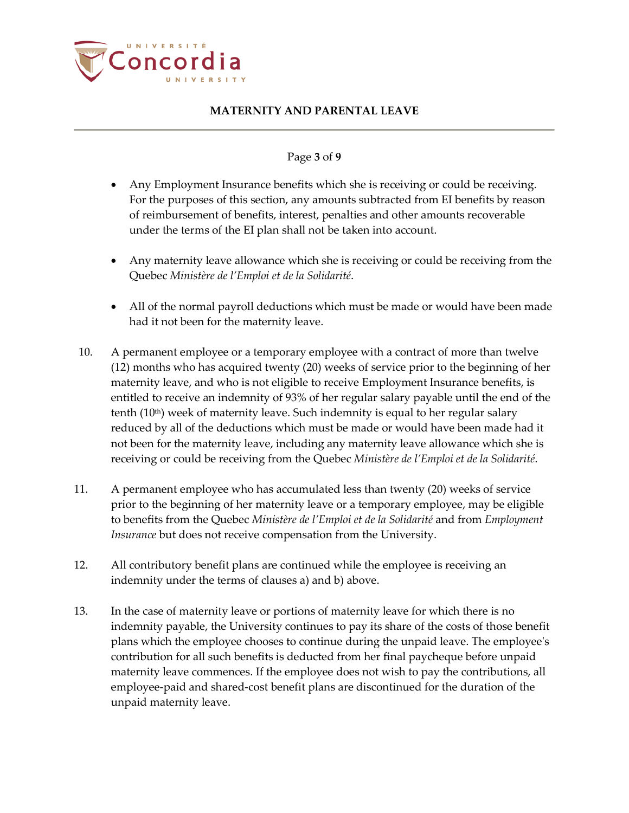

### Page **3** of **9**

- Any Employment Insurance benefits which she is receiving or could be receiving. For the purposes of this section, any amounts subtracted from EI benefits by reason of reimbursement of benefits, interest, penalties and other amounts recoverable under the terms of the EI plan shall not be taken into account.
- Any maternity leave allowance which she is receiving or could be receiving from the Quebec *Ministère de l'Emploi et de la Solidarité*.
- All of the normal payroll deductions which must be made or would have been made had it not been for the maternity leave.
- 10. A permanent employee or a temporary employee with a contract of more than twelve (12) months who has acquired twenty (20) weeks of service prior to the beginning of her maternity leave, and who is not eligible to receive Employment Insurance benefits, is entitled to receive an indemnity of 93% of her regular salary payable until the end of the tenth (10th) week of maternity leave. Such indemnity is equal to her regular salary reduced by all of the deductions which must be made or would have been made had it not been for the maternity leave, including any maternity leave allowance which she is receiving or could be receiving from the Quebec *Ministère de l'Emploi et de la Solidarité*.
- 11. A permanent employee who has accumulated less than twenty (20) weeks of service prior to the beginning of her maternity leave or a temporary employee, may be eligible to benefits from the Quebec *Ministère de l'Emploi et de la Solidarité* and from *Employment Insurance* but does not receive compensation from the University.
- 12. All contributory benefit plans are continued while the employee is receiving an indemnity under the terms of clauses a) and b) above.
- 13. In the case of maternity leave or portions of maternity leave for which there is no indemnity payable, the University continues to pay its share of the costs of those benefit plans which the employee chooses to continue during the unpaid leave. The employee's contribution for all such benefits is deducted from her final paycheque before unpaid maternity leave commences. If the employee does not wish to pay the contributions, all employee-paid and shared-cost benefit plans are discontinued for the duration of the unpaid maternity leave.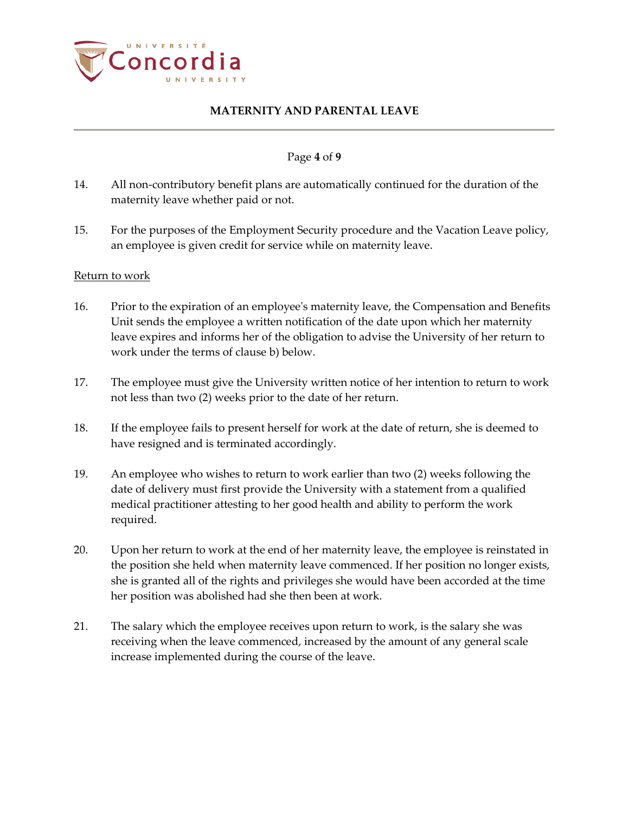

## Page **4** of **9**

- 14. All non-contributory benefit plans are automatically continued for the duration of the maternity leave whether paid or not.
- 15. For the purposes of the Employment Security procedure and the Vacation Leave policy, an employee is given credit for service while on maternity leave.

#### Return to work

- 16. Prior to the expiration of an employee's maternity leave, the Compensation and Benefits Unit sends the employee a written notification of the date upon which her maternity leave expires and informs her of the obligation to advise the University of her return to work under the terms of clause b) below.
- 17. The employee must give the University written notice of her intention to return to work not less than two (2) weeks prior to the date of her return.
- 18. If the employee fails to present herself for work at the date of return, she is deemed to have resigned and is terminated accordingly.
- 19. An employee who wishes to return to work earlier than two (2) weeks following the date of delivery must first provide the University with a statement from a qualified medical practitioner attesting to her good health and ability to perform the work required.
- 20. Upon her return to work at the end of her maternity leave, the employee is reinstated in the position she held when maternity leave commenced. If her position no longer exists, she is granted all of the rights and privileges she would have been accorded at the time her position was abolished had she then been at work.
- 21. The salary which the employee receives upon return to work, is the salary she was receiving when the leave commenced, increased by the amount of any general scale increase implemented during the course of the leave.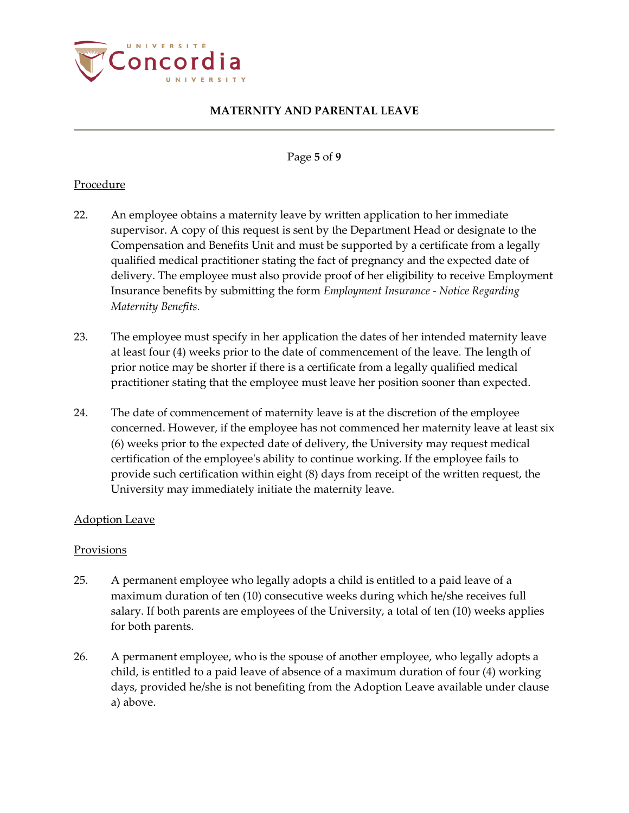

#### Page **5** of **9**

## Procedure

- 22. An employee obtains a maternity leave by written application to her immediate supervisor. A copy of this request is sent by the Department Head or designate to the Compensation and Benefits Unit and must be supported by a certificate from a legally qualified medical practitioner stating the fact of pregnancy and the expected date of delivery. The employee must also provide proof of her eligibility to receive Employment Insurance benefits by submitting the form *Employment Insurance - Notice Regarding Maternity Benefits.*
- 23. The employee must specify in her application the dates of her intended maternity leave at least four (4) weeks prior to the date of commencement of the leave*.* The length of prior notice may be shorter if there is a certificate from a legally qualified medical practitioner stating that the employee must leave her position sooner than expected.
- 24. The date of commencement of maternity leave is at the discretion of the employee concerned. However, if the employee has not commenced her maternity leave at least six (6) weeks prior to the expected date of delivery, the University may request medical certification of the employee's ability to continue working. If the employee fails to provide such certification within eight (8) days from receipt of the written request, the University may immediately initiate the maternity leave.

### Adoption Leave

### Provisions

- 25. A permanent employee who legally adopts a child is entitled to a paid leave of a maximum duration of ten (10) consecutive weeks during which he/she receives full salary. If both parents are employees of the University, a total of ten (10) weeks applies for both parents.
- 26. A permanent employee, who is the spouse of another employee, who legally adopts a child, is entitled to a paid leave of absence of a maximum duration of four (4) working days, provided he/she is not benefiting from the Adoption Leave available under clause a) above.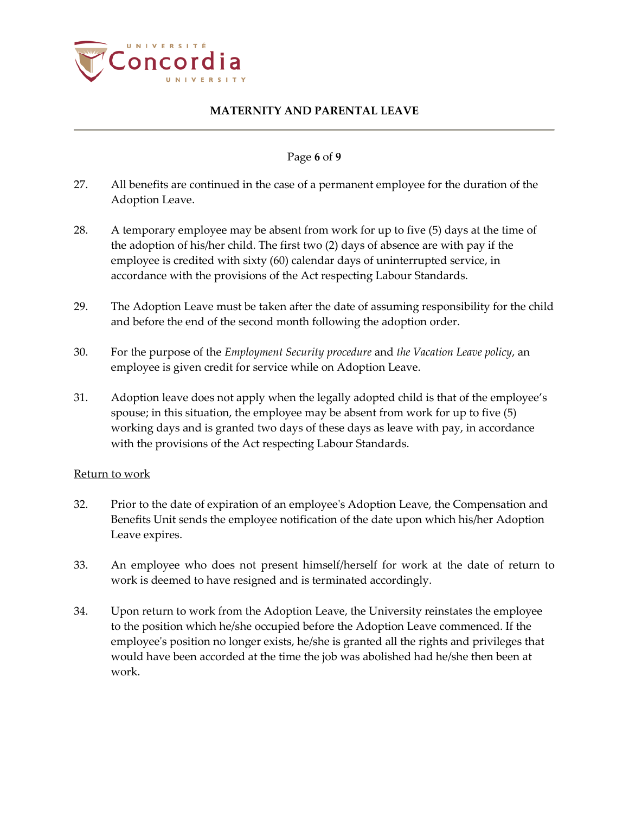

### Page **6** of **9**

- 27. All benefits are continued in the case of a permanent employee for the duration of the Adoption Leave.
- 28. A temporary employee may be absent from work for up to five (5) days at the time of the adoption of his/her child. The first two (2) days of absence are with pay if the employee is credited with sixty (60) calendar days of uninterrupted service, in accordance with the provisions of the Act respecting Labour Standards.
- 29. The Adoption Leave must be taken after the date of assuming responsibility for the child and before the end of the second month following the adoption order.
- 30. For the purpose of the *Employment Security procedure* and *the Vacation Leave policy*, an employee is given credit for service while on Adoption Leave.
- 31. Adoption leave does not apply when the legally adopted child is that of the employee's spouse; in this situation, the employee may be absent from work for up to five (5) working days and is granted two days of these days as leave with pay, in accordance with the provisions of the Act respecting Labour Standards.

### Return to work

- 32. Prior to the date of expiration of an employee's Adoption Leave, the Compensation and Benefits Unit sends the employee notification of the date upon which his/her Adoption Leave expires.
- 33. An employee who does not present himself/herself for work at the date of return to work is deemed to have resigned and is terminated accordingly.
- 34. Upon return to work from the Adoption Leave, the University reinstates the employee to the position which he/she occupied before the Adoption Leave commenced. If the employee's position no longer exists, he/she is granted all the rights and privileges that would have been accorded at the time the job was abolished had he/she then been at work.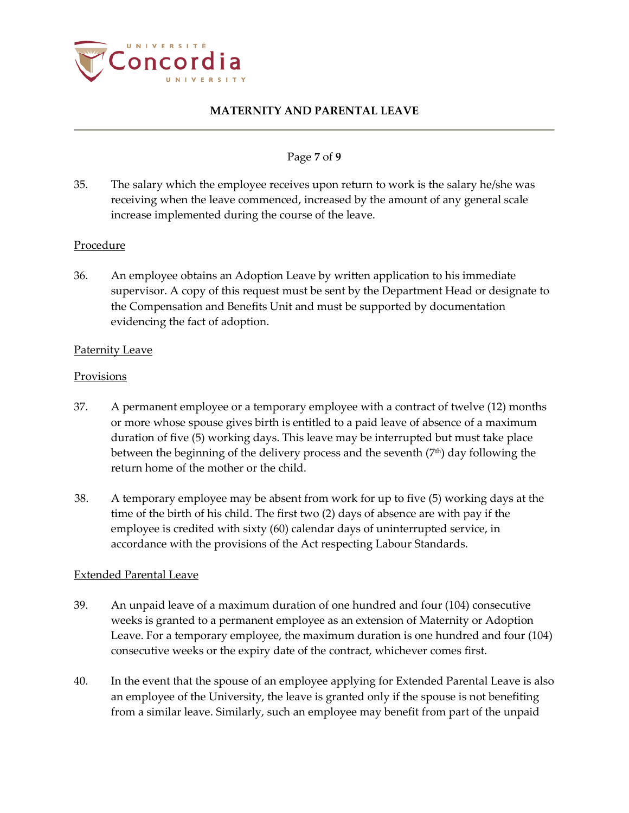

### Page **7** of **9**

35. The salary which the employee receives upon return to work is the salary he/she was receiving when the leave commenced, increased by the amount of any general scale increase implemented during the course of the leave.

## Procedure

36. An employee obtains an Adoption Leave by written application to his immediate supervisor. A copy of this request must be sent by the Department Head or designate to the Compensation and Benefits Unit and must be supported by documentation evidencing the fact of adoption.

### Paternity Leave

### Provisions

- 37. A permanent employee or a temporary employee with a contract of twelve (12) months or more whose spouse gives birth is entitled to a paid leave of absence of a maximum duration of five (5) working days. This leave may be interrupted but must take place between the beginning of the delivery process and the seventh  $(7<sup>th</sup>)$  day following the return home of the mother or the child.
- 38. A temporary employee may be absent from work for up to five (5) working days at the time of the birth of his child. The first two (2) days of absence are with pay if the employee is credited with sixty (60) calendar days of uninterrupted service, in accordance with the provisions of the Act respecting Labour Standards.

### Extended Parental Leave

- 39. An unpaid leave of a maximum duration of one hundred and four (104) consecutive weeks is granted to a permanent employee as an extension of Maternity or Adoption Leave. For a temporary employee, the maximum duration is one hundred and four (104) consecutive weeks or the expiry date of the contract, whichever comes first.
- 40. In the event that the spouse of an employee applying for Extended Parental Leave is also an employee of the University, the leave is granted only if the spouse is not benefiting from a similar leave. Similarly, such an employee may benefit from part of the unpaid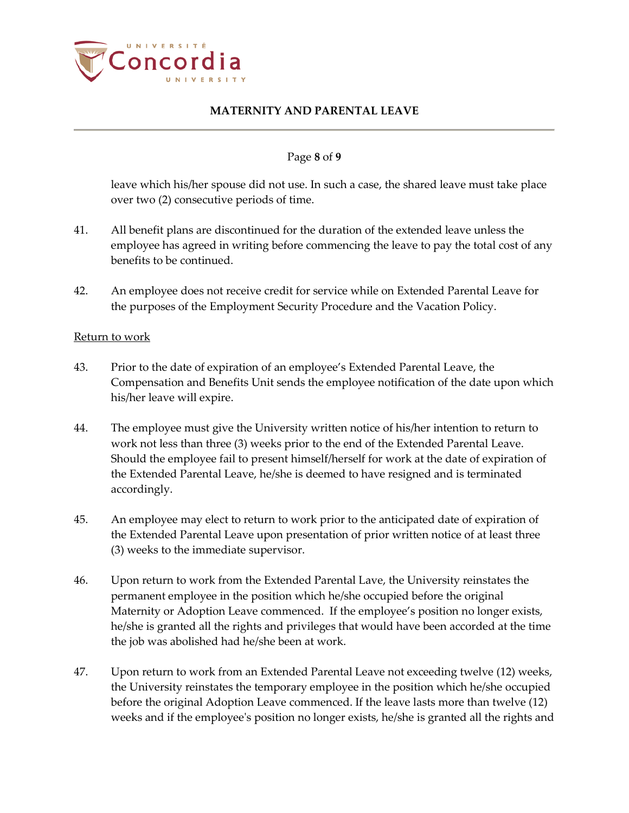

#### Page **8** of **9**

leave which his/her spouse did not use. In such a case, the shared leave must take place over two (2) consecutive periods of time.

- 41. All benefit plans are discontinued for the duration of the extended leave unless the employee has agreed in writing before commencing the leave to pay the total cost of any benefits to be continued.
- 42. An employee does not receive credit for service while on Extended Parental Leave for the purposes of the Employment Security Procedure and the Vacation Policy.

#### Return to work

- 43. Prior to the date of expiration of an employee's Extended Parental Leave, the Compensation and Benefits Unit sends the employee notification of the date upon which his/her leave will expire.
- 44. The employee must give the University written notice of his/her intention to return to work not less than three (3) weeks prior to the end of the Extended Parental Leave. Should the employee fail to present himself/herself for work at the date of expiration of the Extended Parental Leave, he/she is deemed to have resigned and is terminated accordingly.
- 45. An employee may elect to return to work prior to the anticipated date of expiration of the Extended Parental Leave upon presentation of prior written notice of at least three (3) weeks to the immediate supervisor.
- 46. Upon return to work from the Extended Parental Lave, the University reinstates the permanent employee in the position which he/she occupied before the original Maternity or Adoption Leave commenced. If the employee's position no longer exists, he/she is granted all the rights and privileges that would have been accorded at the time the job was abolished had he/she been at work.
- 47. Upon return to work from an Extended Parental Leave not exceeding twelve (12) weeks, the University reinstates the temporary employee in the position which he/she occupied before the original Adoption Leave commenced. If the leave lasts more than twelve (12) weeks and if the employee's position no longer exists, he/she is granted all the rights and